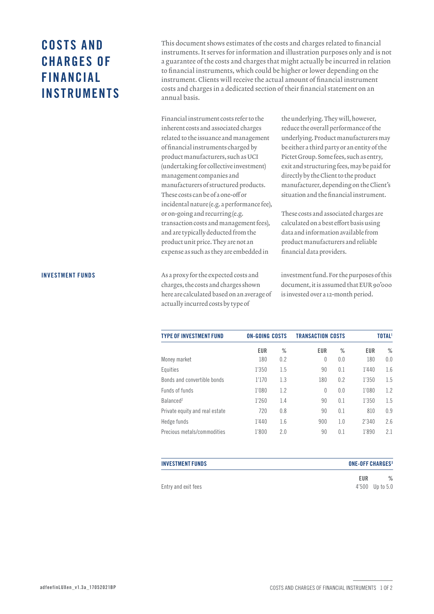# COSTS AND CHARGES OF FINANCIAL INSTRUMENTS

This document shows estimates of the costs and charges related to financial instruments. It serves for information and illustration purposes only and is not a guarantee of the costs and charges that might actually be incurred in relation to financial instruments, which could be higher or lower depending on the instrument. Clients will receive the actual amount of financial instrument costs and charges in a dedicated section of their financial statement on an annual basis.

Financial instrument costs refer to the inherent costs and associated charges related to the issuance and management of financial instruments charged by product manufacturers, such as UCI (undertaking for collective investment) management companies and manufacturers of structured products. These costs can be of a one-off or incidental nature (e.g. a performance fee), or on-going and recurring (e.g. transaction costs and management fees), and are typically deducted from the product unit price. They are not an expense as such as they are embedded in

As a proxy for the expected costs and charges, the costs and charges shown here are calculated based on an average of actually incurred costs by type of

the underlying. They will, however, reduce the overall performance of the underlying. Product manufacturers may be either a third party or an entity of the Pictet Group. Some fees, such as entry, exit and structuring fees, may be paid for directly by the Client to the product manufacturer, depending on the Client's situation and the financial instrument.

These costs and associated charges are calculated on a best effort basis using data and information available from product manufacturers and reliable financial data providers.

investment fund. For the purposes of this document, it is assumed that EUR 90'000 is invested over a 12-month period.

| <b>TYPE OF INVESTMENT FUND</b> | <b>ON-GOING COSTS</b> |      | <b>TRANSACTION COSTS</b> |      |       | <b>TOTAL<sup>1</sup></b> |
|--------------------------------|-----------------------|------|--------------------------|------|-------|--------------------------|
|                                | EUR                   | $\%$ | EUR                      | $\%$ | EUR   | $\%$                     |
| Money market                   | 180                   | 0.2  | $\theta$                 | 0.0  | 180   | 0.0                      |
| Equities                       | 1'350                 | 1.5  | 90                       | 0.1  | 1'440 | 1.6                      |
| Bonds and convertible bonds    | 1'170                 | 1.3  | 180                      | 0.2  | 1'350 | 1.5                      |
| Funds of funds                 | 1'080                 | 1.2  | $\theta$                 | 0.0  | 1'080 | 1.2                      |
| Balanced <sup>2</sup>          | 1'260                 | 1.4  | 90                       | 0.1  | 1'350 | 1.5                      |
| Private equity and real estate | 720                   | 0.8  | 90                       | 0.1  | 810   | 0.9                      |
| Hedge funds                    | 1'440                 | 1.6  | 900                      | 1.0  | 2'340 | 2.6                      |
| Precious metals/commodities    | 1'800                 | 2.0  | 90                       | 0.1  | 1'890 | 2.1                      |

| <b>INVESTMENT FUNDS</b> | <b>ONE-OFF CHARGES3</b> |                 |
|-------------------------|-------------------------|-----------------|
|                         | EUR                     | $\%$            |
| Entry and exit fees     |                         | 4'500 Up to 5.0 |

#### INVESTMENT FUNDS